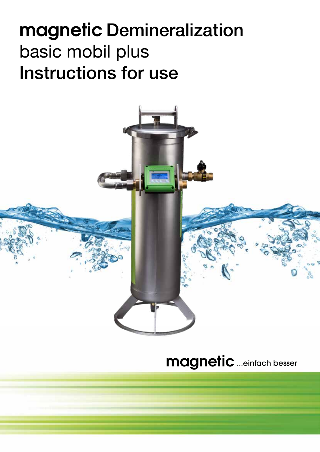# **magnetic** Demineralization basic mobil plus Instructions for use

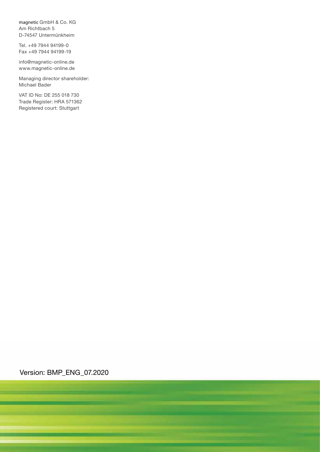magnetic GmbH & Co. KG Am Richtbach 5 D-74547 Untermünkheim

Tel. +49 7944 94199-0 Fax +49 7944 94199-19

info@magnetic-online.de www.magnetic-online.de

Managing director shareholder: Michael Bader

VAT ID No: DE 255 018 730 Trade Register: HRA 571362 Registered court: Stuttgart

Version: BMP\_ENG\_07.2020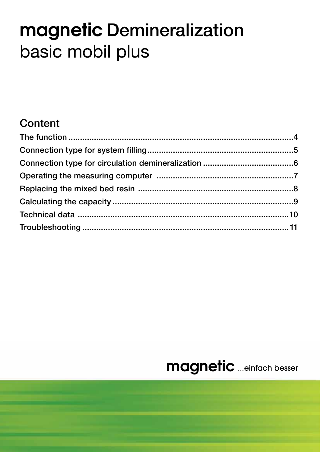# **magnetic** Demineralization basic mobil plus

### **Content**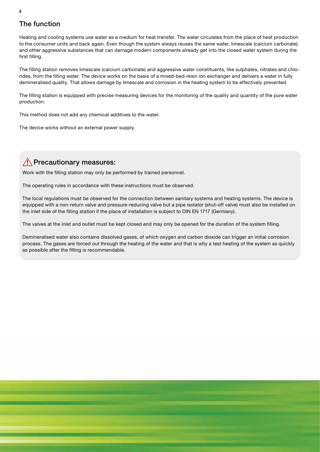### The function

Heating and cooling systems use water as a medium for heat transfer. The water circulates from the place of heat production to the consumer units and back again. Even though the system always reuses the same water, limescale (calcium carbonate) and other aggressive substances that can damage modern components already get into the closed water system during the first filling.

The filling station removes limescale (calcium carbonate) and aggressive water constituents, like sulphates, nitrates and chlorides, from the filling water. The device works on the basis of a mixed-bed-resin ion exchanger and delivers a water in fully demineralised quality. That allows damage by limescale and corrosion in the heating system to be effectively prevented.

The filling station is equipped with precise measuring devices for the monitoring of the quality and quantity of the pure water production.

This method does not add any chemical additives to the water.

The device works without an external power supply.

### $\sqrt{N}$  Precautionary measures:

Work with the filling station may only be performed by trained personnel.

The operating rules in accordance with these instructions must be observed.

The local regulations must be observed for the connection between sanitary systems and heating systems. The device is equipped with a non-return valve and pressure-reducing valve but a pipe isolator (shut-off valve) must also be installed on the inlet side of the filling station if the place of installation is subject to DIN EN 1717 (Germany).

The valves at the inlet and outlet must be kept closed and may only be opened for the duration of the system filling.

Demineralised water also contains dissolved gases, of which oxygen and carbon dioxide can trigger an initial corrosion process. The gases are forced out through the heating of the water and that is why a test heating of the system as quickly as possible after the filling is recommendable.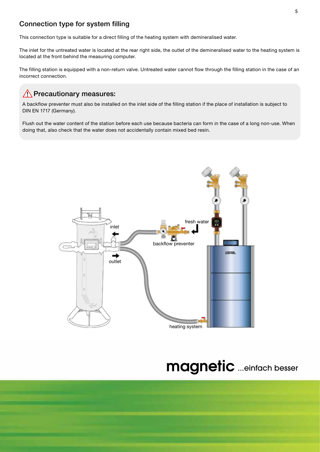### Connection type for system filling

This connection type is suitable for a direct filling of the heating system with demineralised water.

The inlet for the untreated water is located at the rear right side, the outlet of the demineralised water to the heating system is located at the front behind the measuring computer.

The filling station is equipped with a non-return valve. Untreated water cannot flow through the filling station in the case of an incorrect connection.

### $\sqrt{N}$  Precautionary measures:

A backflow preventer must also be installed on the inlet side of the filling station if the place of installation is subject to DIN EN 1717 (Germany).

Flush out the water content of the station before each use because bacteria can form in the case of a long non-use. When doing that, also check that the water does not accidentally contain mixed bed resin.

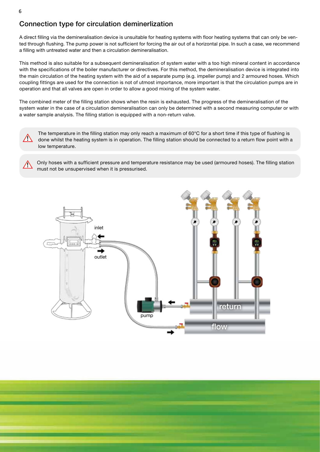### Connection type for circulation deminerlization

A direct filling via the demineralisation device is unsuitable for heating systems with floor heating systems that can only be vented through flushing. The pump power is not sufficient for forcing the air out of a horizontal pipe. In such a case, we recommend a filling with untreated water and then a circulation demineralisation.

This method is also suitable for a subsequent demineralisation of system water with a too high mineral content in accordance with the specifications of the boiler manufacturer or directives. For this method, the demineralisation device is integrated into the main circulation of the heating system with the aid of a separate pump (e.g. impeller pump) and 2 armoured hoses. Which coupling fittings are used for the connection is not of utmost importance, more important is that the circulation pumps are in operation and that all valves are open in order to allow a good mixing of the system water.

The combined meter of the filling station shows when the resin is exhausted. The progress of the demineralisation of the system water in the case of a circulation demineralisation can only be determined with a second measuring computer or with a water sample analysis. The filling station is equipped with a non-return valve.



The temperature in the filling station may only reach a maximum of 60°C for a short time if this type of flushing is done whilst the heating system is in operation. The filling station should be connected to a return flow point with a low temperature.

Only hoses with a sufficient pressure and temperature resistance may be used (armoured hoses). The filling station must not be unsupervised when it is pressurised.

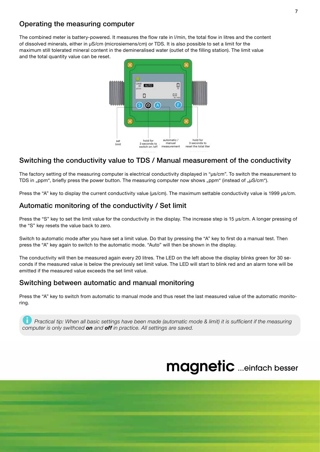### Operating the measuring computer

The combined meter is battery-powered. It measures the flow rate in l/min, the total flow in litres and the content of dissolved minerals, either in μS/cm (microsiemens/cm) or TDS. It is also possible to set a limit for the maximum still tolerated mineral content in the demineralised water (outlet of the filling station). The limit value and the total quantity value can be reset.



### Switching the conductivity value to TDS / Manual measurement of the conductivity

The factory setting of the measuring computer is electrical conductivity displayed in "μs/cm". To switch the measurement to TDS in "ppm", briefly press the power button. The measuring computer now shows "ppm" (instead of "μS/cm").

Press the "A" key to display the current conductivity value (μs/cm). The maximum settable conductivity value is 1999 μs/cm.

### Automatic monitoring of the conductivity / Set limit

Press the "S" key to set the limit value for the conductivity in the display. The increase step is 15 µs/cm. A longer pressing of the "S" key resets the value back to zero.

Switch to automatic mode after you have set a limit value. Do that by pressing the "A" key to first do a manual test. Then press the "A" key again to switch to the automatic mode. "Auto" will then be shown in the display.

The conductivity will then be measured again every 20 litres. The LED on the left above the display blinks green for 30 seconds if the measured value is below the previously set limit value. The LED will start to blink red and an alarm tone will be emitted if the measured value exceeds the set limit value.

### Switching between automatic and manual monitoring

Press the "A" key to switch from automatic to manual mode and thus reset the last measured value of the automatic monitoring.

ℹ *Practical tip: When all basic settings have been made (automatic mode & limit) it is sufficient if the measuring computer is only swithced on and off in practice. All settings are saved.*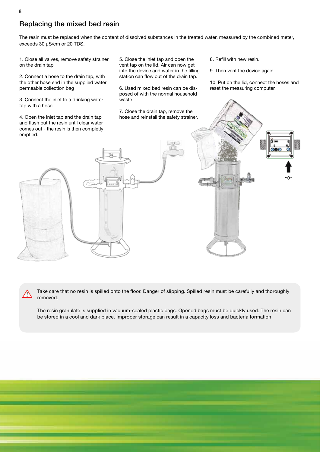### Replacing the mixed bed resin

The resin must be replaced when the content of dissolved substances in the treated water, measured by the combined meter, exceeds 30 µS/cm or 20 TDS.

1. Close all valves, remove safety strainer on the drain tap

2. Connect a hose to the drain tap, with the other hose end in the supplied water permeable collection bag

3. Connect the inlet to a drinking water tap with a hose

4. Open the inlet tap and the drain tap and flush out the resin until clear water comes out - the resin is then completly

5. Close the inlet tap and open the vent tap on the lid. Air can now get into the device and water in the filling station can flow out of the drain tap.

6. Used mixed bed resin can be disposed of with the normal household waste.

7. Close the drain tap, remove the hose and reinstall the safety strainer. 8. Refill with new resin.

9. Then vent the device again.

10. Put on the lid, connect the hoses and reset the measuring computer.

Take care that no resin is spilled onto the floor. Danger of slipping. Spilled resin must be carefully and thoroughly removed.

The resin granulate is supplied in vacuum-sealed plastic bags. Opened bags must be quickly used. The resin can be stored in a cool and dark place. Improper storage can result in a capacity loss and bacteria formation



!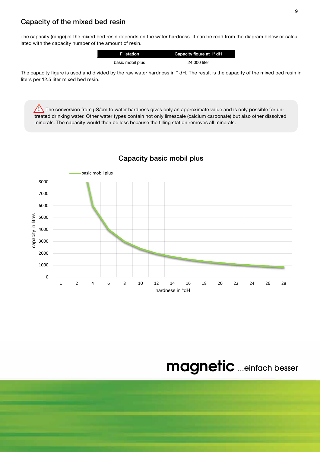#### Capacity of the mixed bed resin

The capacity (range) of the mixed bed resin depends on the water hardness. It can be read from the diagram below or calculated with the capacity number of the amount of resin.

| <b>Fillstation</b> | Capacity figure at 1° dH |
|--------------------|--------------------------|
| basic mobil plus   | 24,000 liter             |

The capacity figure is used and divided by the raw water hardness in ° dH. The result is the capacity of the mixed bed resin in liters per 12.5 liter mixed bed resin.

The conversion from  $\mu$ S/cm to water hardness gives only an approximate value and is only possible for untreated drinking water. Other water types contain not only limescale (calcium carbonate) but also other dissolved minerals. The capacity would then be less because the filling station removes all minerals.



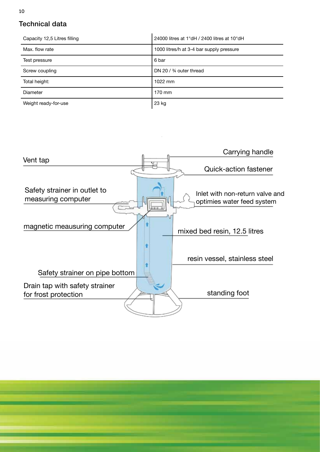### Technical data

| Capacity 12,5 Litres filling | 24000 litres at 1°dH / 2400 litres at 10°dH |
|------------------------------|---------------------------------------------|
| Max. flow rate               | 1000 litres/h at 3-4 bar supply pressure    |
| Test pressure                | 6 bar                                       |
| Screw coupling               | DN 20 / 3/4 outer thread                    |
| Total height:                | 1022 mm                                     |
| Diameter                     | 170 mm                                      |
| Weight ready-for-use         | 23 kg                                       |

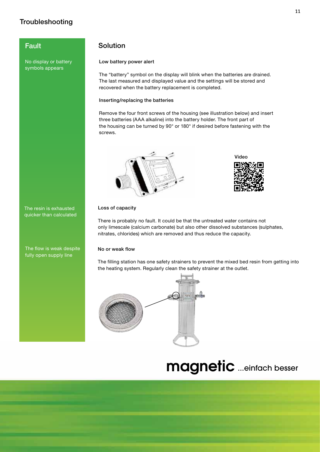### **Troubleshooting**

No display or battery symbols appears

The resin is exhausted quicker than calculated

The flow is weak despite fully open supply line

### **Fault** Solution

#### Low battery power alert

The "battery" symbol on the display will blink when the batteries are drained. The last measured and displayed value and the settings will be stored and recovered when the battery replacement is completed.

#### Inserting/replacing the batteries

Remove the four front screws of the housing (see illustration below) and insert three batteries (AAA alkaline) into the battery holder. The front part of the housing can be turned by 90° or 180° if desired before fastening with the screws.





#### Loss of capacity

There is probably no fault. It could be that the untreated water contains not only limescale (calcium carbonate) but also other dissolved substances (sulphates, nitrates, chlorides) which are removed and thus reduce the capacity.

#### No or weak flow

The filling station has one safety strainers to prevent the mixed bed resin from getting into the heating system. Regularly clean the safety strainer at the outlet.